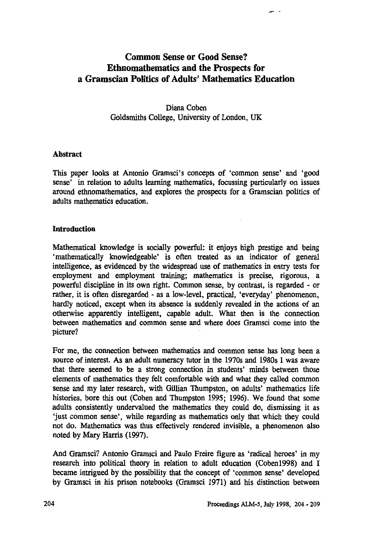# **Common Sense or Good Sense? Ethnomathematics and the Prospects for a Gramscian Politics of Adults' Mathematics Education**

**Diana Coben Goldsmiths College, University of London, UK**

## **Abstract**

**This paper looks at Antonio Gramsci's concepts of 'common sense' and 'good sense' in relation to adults learning mathematics, focussing particularly on issues around ethnomathematics, and explores the prospects for a Gramscian politics of adults mathematics education.**

## **Introduction**

**Mathematical knowledge is socially powerful: it enjoys high prestige and being `mathematically knowledgeable' is often treated as an indicator of general intelligence, as evidenced by the widespread use of mathematics in entry tests for employment and employment training; mathematics is precise, rigorous, a powerful discipline in its own right. Common sense, by contrast, is regarded - or rather, it is often disregarded - as a low-level, practical, 'everyday' phenomenon, hardly noticed, except when its absence is suddenly revealed in the actions of an otherwise apparently intelligent, capable adult. What then is the connection between mathematics and common sense and where does Gramsci come into the picture?**

**For me, the connection between mathematics and common sense has long been a source of interest. As an adult numeracy tutor in the 1970s and 1980s I was aware that there seemed to be a strong connection in students' minds between those elements of mathematics they felt comfortable with and what they called common sense and my later research, with Gillian Thumpston, on adults' mathematics life histories, bore this out (Coben and Thumpston 1995; 1996). We found that some adults consistently undervalued the mathematics they could do, dismissing it as `just common sense', while regarding as mathematics only that which they could not do. Mathematics was thus effectively rendered invisible, a phenomenon also noted by Mary Harris (1997).**

**And Gramsci? Antonio Gramsci and Paulo Freire figure as 'radical heroes' in my research into political theory in relation to adult education (Coben1998) and I became intrigued by the possibility that the concept of 'common sense' developed by Gramsci in his prison notebooks (Gramsci 1971) and his distinction between**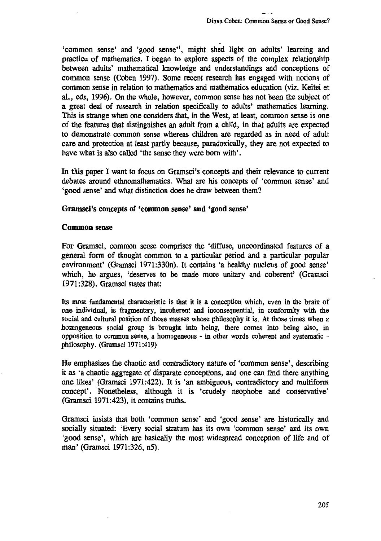**`common sense' and 'good sense'', might shed light on adults' learning and practice of mathematics. I began to explore aspects of the complex relationship between adults' mathematical knowledge and understandings and conceptions of common sense (Coben 1997). Some recent research has engaged with notions of common sense in relation to mathematics and mathematics education (viz. Keitel et al., eds, 1996). On the whole, however, common sense has not been the subject of a great deal of research in relation specifically to adults' mathematics learning. This is strange when one considers that, in the West, at least, common sense is one of the features that distinguishes an adult from a child, in that adults are expected to demonstrate common sense whereas children are regarded as in need of adult care and protection at least partly because, paradoxically, they are not expected to have what is also called 'the sense they were born with'.**

**In this paper I want to focus on Gramsci's concepts and their relevance to current debates around ethnomathematics. What are his concepts of 'common sense' and 'good sense' and what distinction does he draw between them?**

## **Gramsci's concepts of 'common sense' and 'good sense'**

## **Common** *sense*

**For Gramsci, common sense comprises the 'diffuse, uncoordinated features of a general form of thought common to a particular period and a particular popular environment' (Gramsci 1971:330n). It contains 'a healthy nucleus of good sense' which, he argues, 'deserves to be made more unitary and coherent' (Gramsci 1971:328). Gramsci states that:**

**Its most fundamental characteristic is that it is a conception which, even in the brain of one individual, is fragmentary, incoherent and inconsequential, in conformity with the social and cultural position of those masses whose philosophy it is. At those times when a homogeneous social group is brought into being, there comes into being also, in opposition to common sense, a homogeneous - in other words coherent and systematic philosophy. (Gramsci 1971:419)**

**He emphasises the chaotic and contradictory nature of 'common sense', describing it as 'a chaotic aggregate of disparate conceptions, and one can find there anything one likes' (Gramsci 1971:422). It is 'an ambiguous, contradictory and multiform concept'. Nonetheless, although it is 'crudely neophobe and conservative' (Gramsci 1971:423), it contains truths.**

**Gramsci insists that both 'common sense' and 'good sense' are historically and socially situated: 'Every social stratum has its own 'common sense' and its own 'good sense', which are basically the most widespread conception of life and of man' (Gramsci 1971:326, n5).**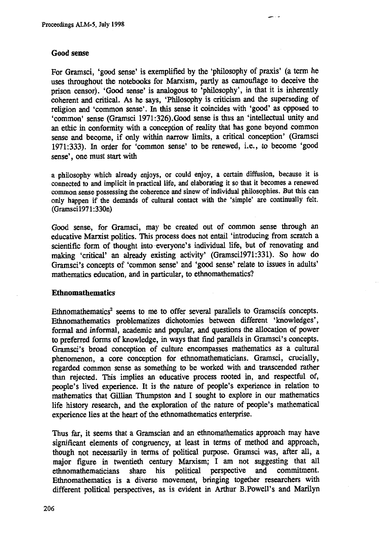#### **Good sense**

**For Gramsci, 'good sense' is exemplified by the 'philosophy of praxis' (a term he uses throughout the notebooks for Marxism, partly as camouflage to deceive the prison censor). 'Good sense' is analogous to 'philosophy', in that it is inherently coherent and critical. As he says, 'Philosophy is criticism and the superseding of religion and 'common sense'. In this sense it coincides with 'good' as opposed to `common' sense (Gramsci 1971:326).Good sense is thus an 'intellectual unity and an ethic in conformity with a conception of reality that has gone beyond common sense and become, if only within narrow limits, a critical conception' (Gramsci 1971:333). In order for 'common sense' to be renewed, i.e., to become 'good sense', one must start with**

**a philosophy which already enjoys, or could enjoy, a certain diffusion, because it is connected to and implicit in practical life, and elaborating it so that it becomes a renewed common sense possessing the coherence and sinew of individual philosophies. But this can only happen if the demands of cultural contact with the 'simple' are continually felt. (Gramsci1971:330n)**

**Good sense, for Gramsci, may be created out of common sense through an educative Marxist politics. This process does not entail 'introducing from scratch a scientific form of thought into everyone's individual life, but of renovating and making 'critical' an already existing activity' (Gramsci1971:331). So how do Gramsci's concepts of 'common sense' and 'good sense' relate to issues in adults' mathematics education, and in particular, to ethnomathematics?**

#### **Ethnomathematics**

**Ethnomathematics<sup>2</sup> seems to me to offer several parallels to Gramscifs concepts. Ethnomathematics problematizes dichotomies between different 'knowledges', formal and informal, academic and popular, and questions the allocation of power to preferred forms of knowledge, in ways that find parallels in Gramsci's concepts. Gramsci's broad conception of culture encompasses mathematics as a cultural phenomenon, a core conception for ethnomathematicians. Gramsci, crucially, regarded common sense as something to be worked with and transcended rather than rejected. This implies an educative process rooted in, and respectful of, people's lived experience. It is the nature of people's experience in relation to mathematics that Gillian Thumpston and I sought to explore in our mathematics life history research, and the exploration of the nature of people's mathematical experience lies at the heart of the ethnomathematics enterprise.**

**Thus far, it seems that a Gramscian and an ethnomathematics approach may have significant elements of congruency, at least in terms of method and approach, though not necessarily in terms of political purpose. Gramsci was, after all, a major figure in twentieth century Marxism; I am not suggesting that all ethnomathematicians share his political perspective and commitment. Ethnomathematics is a diverse movement, bringing together researchers with different political perspectives, as is evident in Arthur B.Powell's and Marilyn**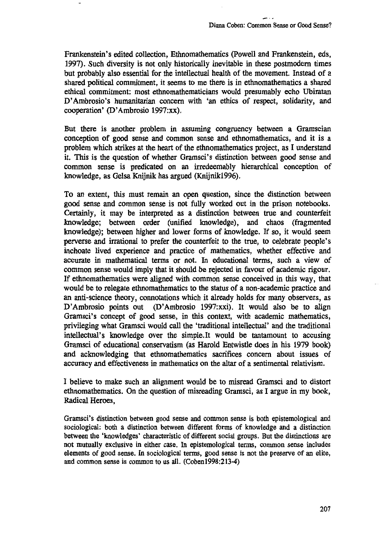**Frankenstein's edited collection, Ethnomathematics (Powell and Frankenstein, eds, 1997). Such diversity is not only historically inevitable in these postmodern times but probably also essential for the intellectual health of the movement. Instead of a shared political commitment, it seems to me there is in ethnomathematics a shared ethical commitment: most ethnomathematicians would presumably echo Ubiratan D'Ambrosio's humanitarian concern with 'an ethics of respect, solidarity, and cooperation' (D'Ambrosio 1997:xx).**

**But there is another problem in assuming congruency between a Gramscian conception of good sense and common sense and ethnomathematics, and it is a problem which strikes at the heart of the ethnomathematics project, as I understand it. This is the question of whether Gramsci's distinction between good sense and common sense is predicated on an irredeemably hierarchical conception of knowledge, as Gelsa Knijnik has argued (Knijnik1996).**

**To an extent, this must remain an open question, since the distinction between good sense and common sense is not fully worked out in the prison notebooks. Certainly, it may be interpreted as a distinction between true and counterfeit knowledge; between order (unified knowledge), and chaos (fragmented knowledge); between higher and lower forms of knowledge. If so, it would seem perverse and irrational to prefer the counterfeit to the true, to celebrate people's inchoate lived experience and practice of mathematics, whether effective and accurate in mathematical terms or not. In educational terms, such a view of common sense would imply that it should be rejected in favour of academic rigour. If ethnomathematics were aligned with common sense conceived in this way, that would be to relegate ethnomathematics to the status of a non-academic practice and an anti-science theory, connotations which it already holds for many observers, as D'Ambrosio points out (D'Ambrosio 1997:xxi). It would also be to align Gramsci's concept of good sense, in this context, with academic mathematics, privileging what Gramsci would call the 'traditional intellectual' and the traditional intellectual's knowledge over the simple.It would be tantamount to accusing Gramsci of educational conservatism (as Harold Entwistle does in his 1979 book) and acknowledging that ethnomathematics sacrifices concern about issues of accuracy and effectiveness in mathematics on the altar of a sentimental relativism.**

**I believe to make such an alignment would be to misread Gramsci and to distort ethnomathematics. On the question of misreading Gramsci, as I argue in my book, Radical Heroes,**

**Gramsci's** distinction between good sense and common sense is both epistemological and sociological: both a distinction between different forms of knowledge and a distinction between the 'knowledges' characteristic of different social groups. But the distinctions are not mutually exclusive in either case. In epistemological terms, common sense includes elements of good sense. In **sociological terms,** good sense is not the preserve of an elite, and common sense is common to us all. (Coben1998:213-4)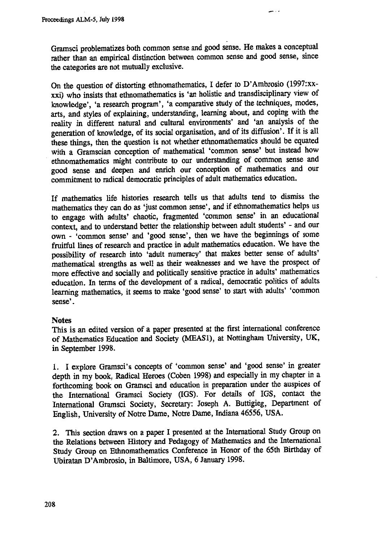**Gramsci problematizes both common sense and good sense. He makes a conceptual rather than an empirical distinction between common sense and good sense, since the categories are not mutually exclusive.**

**On the question of distorting ethnomathematics, I defer to D'Ambrosio (1997:xxxxi) who insists that ethnomathematics is 'an holistic and transdisciplinary view of knowledge', 'a research program', 'a comparative study of the techniques, modes, arts, and styles of explaining, understanding, learning about, and coping with the reality in different natural and cultural environments' and 'an analysis of the generation of knowledge, of its social organisation, and of its diffusion'. If it is all these things, then the question is not whether ethnomathematics should be equated with a Gramscian conception of mathematical 'common sense' but instead how ethnomathematics might contribute to our understanding of common sense and good sense and deepen and enrich our conception of mathematics and our commitment to radical democratic principles of adult mathematics education.**

**If mathematics life histories research tells us that adults tend to dismiss the mathematics they can do as 'just common sense', and if ethnomathematics helps us to engage with adults' chaotic, fragmented 'common sense' in an educational context, and to understand better the relationship between adult students' - and our own - 'common sense' and 'good sense', then we have the beginnings of some fruitful lines of research and practice in adult mathematics education. We have the possibility of research into 'adult numeracy' that makes better sense of adults' mathematical strengths as well as their weaknesses and we have the prospect of more effective and socially and politically sensitive practice in adults' mathematics education. In terms of the development of a radical, democratic politics of adults learning mathematics, it seems to make 'good sense' to start with adults' `common sense'.**

# **Notes**

**This is an edited version of a paper presented at the first international conference of Mathematics Education and Society (MEAS1), at Nottingham University, UK, in September 1998.**

**1. I explore Gramsci's concepts of 'common sense' and 'good sense' in greater depth in my book, Radical Heroes (Cohen 1998) and especially in my chapter in a forthcoming book on Gramsci and education in preparation under the auspices of the International Gramsci Society (IGS). For details of IGS, contact the International Gramsci Society, Secretary: Joseph A. Buttigieg, Department of English, University of Notre Dame, Notre Dame, Indiana 46556, USA.**

**2. This section draws on a paper I presented at the International Study Group on the Relations between History and Pedagogy of Mathematics and the International Study Group on Ethnomathematics Conference in Honor of the 65th Birthday of Ubiratan D'Ambrosio, in Baltimore, USA, 6 January 1998.**